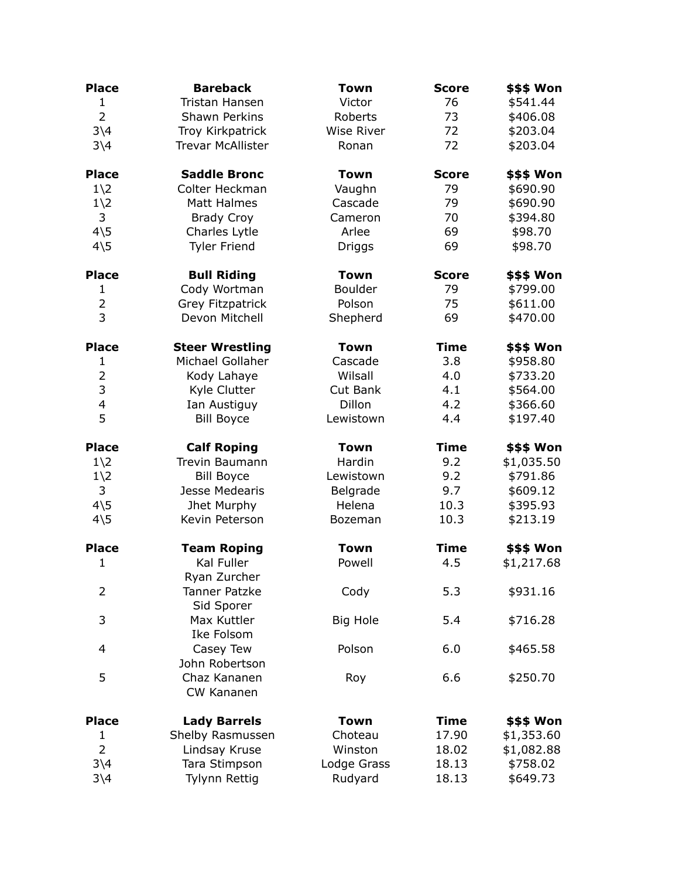| <b>Place</b>                      | <b>Bareback</b>                   | <b>Town</b>     | <b>Score</b> | \$\$\$ Won |
|-----------------------------------|-----------------------------------|-----------------|--------------|------------|
| $\mathbf{1}$                      | Tristan Hansen                    | Victor          | 76           | \$541.44   |
| $\overline{2}$                    | Shawn Perkins                     | Roberts         | 73           | \$406.08   |
| $3\backslash4$                    | Troy Kirkpatrick                  | Wise River      | 72           | \$203.04   |
| $3\backslash4$                    | <b>Trevar McAllister</b>          | Ronan           | 72           | \$203.04   |
| <b>Place</b>                      | <b>Saddle Bronc</b>               | <b>Town</b>     | <b>Score</b> | \$\$\$ Won |
| $1\angle 2$                       | Colter Heckman                    | Vaughn          | 79           | \$690.90   |
| $1\angle 2$                       | Matt Halmes                       | Cascade         | 79           | \$690.90   |
| 3                                 | <b>Brady Croy</b>                 | Cameron         | 70           | \$394.80   |
| $4\overline{\smash{\backslash}5}$ | Charles Lytle                     | Arlee           | 69           | \$98.70    |
| $4\overline{5}$                   | <b>Tyler Friend</b>               | Driggs          | 69           | \$98.70    |
| <b>Place</b>                      | <b>Bull Riding</b>                | <b>Town</b>     | <b>Score</b> | \$\$\$ Won |
| $\mathbf{1}$                      | Cody Wortman                      | <b>Boulder</b>  | 79           | \$799.00   |
| $\overline{2}$                    | <b>Grey Fitzpatrick</b>           | Polson          | 75           | \$611.00   |
| 3                                 | Devon Mitchell                    | Shepherd        | 69           | \$470.00   |
| <b>Place</b>                      | <b>Steer Wrestling</b>            | <b>Town</b>     | <b>Time</b>  | \$\$\$ Won |
| 1                                 | Michael Gollaher                  | Cascade         | 3.8          | \$958.80   |
| $\overline{2}$                    | Kody Lahaye                       | Wilsall         | 4.0          | \$733.20   |
| 3                                 | Kyle Clutter                      | Cut Bank        | 4.1          | \$564.00   |
| $\overline{\mathcal{L}}$          | Ian Austiguy                      | Dillon          | 4.2          | \$366.60   |
| 5                                 | <b>Bill Boyce</b>                 | Lewistown       | 4.4          | \$197.40   |
| <b>Place</b>                      | <b>Calf Roping</b>                | <b>Town</b>     | <b>Time</b>  | \$\$\$ Won |
| $1\angle 2$                       | <b>Trevin Baumann</b>             | Hardin          | 9.2          | \$1,035.50 |
| $1\angle 2$                       | <b>Bill Boyce</b>                 | Lewistown       | 9.2          | \$791.86   |
| 3                                 | Jesse Medearis                    | Belgrade        | 9.7          | \$609.12   |
| $4\overline{5}$                   | Jhet Murphy                       | Helena          | 10.3         | \$395.93   |
| $4\overline{\smash{\backslash}5}$ | Kevin Peterson                    | Bozeman         | 10.3         | \$213.19   |
| <b>Place</b>                      | <b>Team Roping</b>                | <b>Town</b>     | <b>Time</b>  | \$\$\$ Won |
| $\mathbf{1}$                      | <b>Kal Fuller</b><br>Ryan Zurcher | Powell          | 4.5          | \$1,217.68 |
| 2                                 | Tanner Patzke<br>Sid Sporer       | Cody            | 5.3          | \$931.16   |
| 3                                 | Max Kuttler<br>Ike Folsom         | <b>Big Hole</b> | 5.4          | \$716.28   |
| 4                                 | Casey Tew<br>John Robertson       | Polson          | 6.0          | \$465.58   |
| 5                                 | Chaz Kananen<br>CW Kananen        | Roy             | 6.6          | \$250.70   |
| <b>Place</b>                      | <b>Lady Barrels</b>               | <b>Town</b>     | <b>Time</b>  | \$\$\$ Won |
| 1                                 | Shelby Rasmussen                  | Choteau         | 17.90        | \$1,353.60 |
| $\overline{2}$                    | Lindsay Kruse                     | Winston         | 18.02        | \$1,082.88 |
| $3\backslash4$                    | Tara Stimpson                     | Lodge Grass     | 18.13        | \$758.02   |
| $3\backslash4$                    | Tylynn Rettig                     | Rudyard         | 18.13        | \$649.73   |